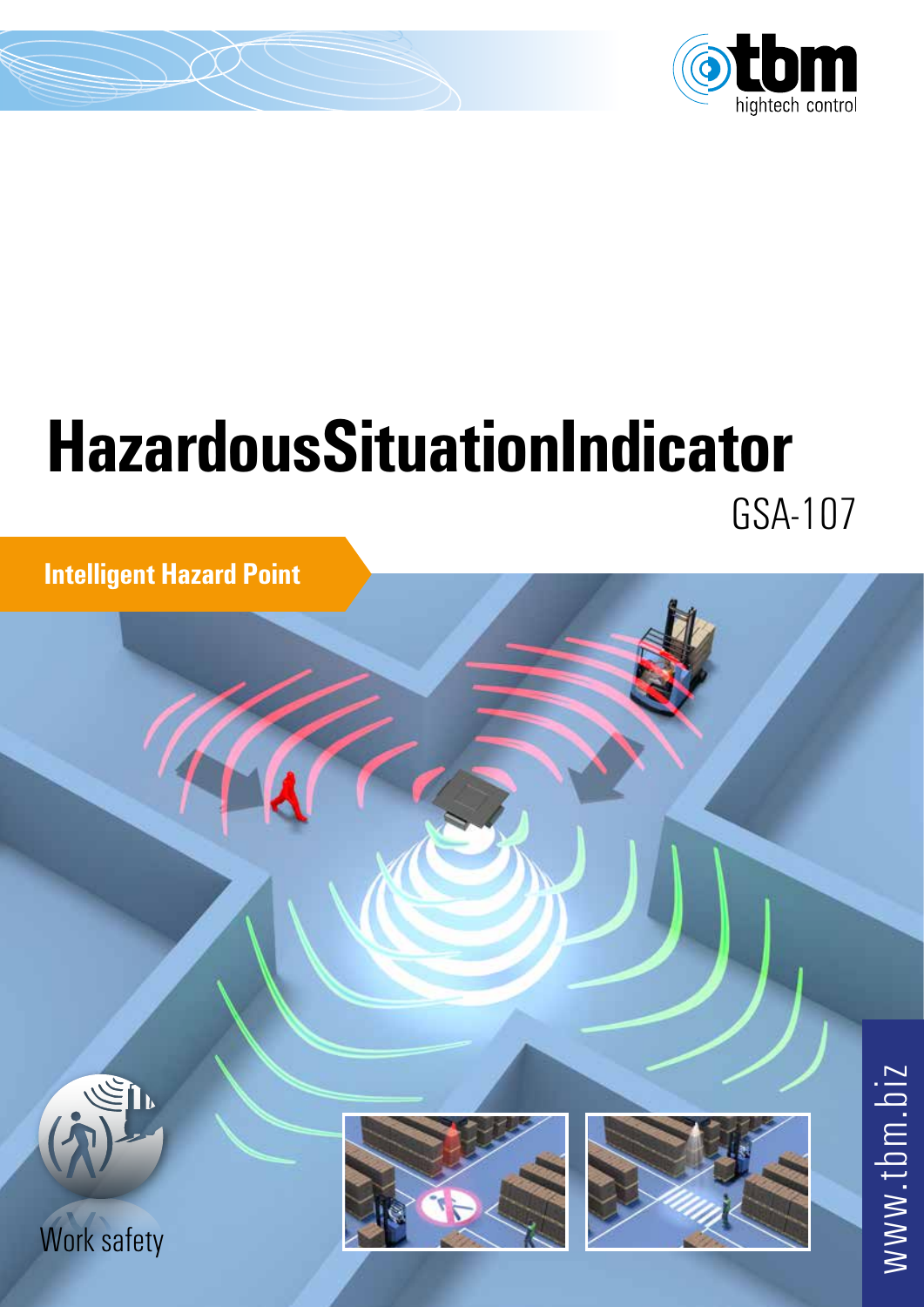

# GSA-107 **HazardousSituationIndicator**

**Intelligent Hazard Point**



Work safety



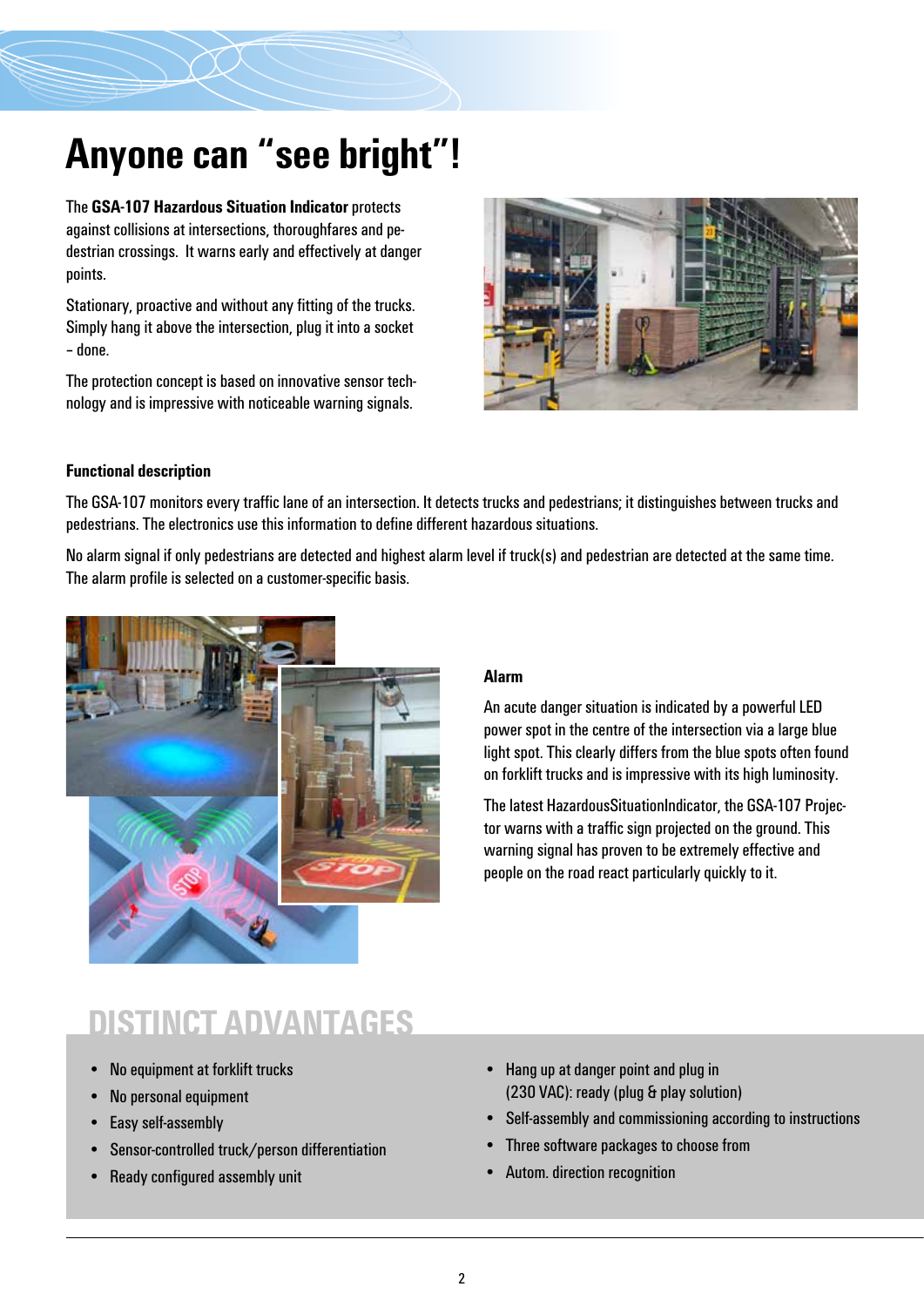# **Anyone can "see bright"!**

The **GSA-107 Hazardous Situation Indicator** protects against collisions at intersections, thoroughfares and pedestrian crossings. It warns early and effectively at danger points.

Stationary, proactive and without any fitting of the trucks. Simply hang it above the intersection, plug it into a socket – done.

The protection concept is based on innovative sensor technology and is impressive with noticeable warning signals.



#### **Functional description**

The GSA-107 monitors every traffic lane of an intersection. It detects trucks and pedestrians; it distinguishes between trucks and pedestrians. The electronics use this information to define different hazardous situations.

No alarm signal if only pedestrians are detected and highest alarm level if truck(s) and pedestrian are detected at the same time. The alarm profile is selected on a customer-specific basis.



#### **Alarm**

An acute danger situation is indicated by a powerful LED power spot in the centre of the intersection via a large blue light spot. This clearly differs from the blue spots often found on forklift trucks and is impressive with its high luminosity.

The latest HazardousSituationIndicator, the GSA-107 Projector warns with a traffic sign projected on the ground. This warning signal has proven to be extremely effective and people on the road react particularly quickly to it.

# **DISTINCT ADVANTAGES**

- No equipment at forklift trucks
- No personal equipment
- Easy self-assembly
- Sensor-controlled truck/person differentiation
- Ready configured assembly unit
- Hang up at danger point and plug in (230 VAC): ready (plug & play solution)
- Self-assembly and commissioning according to instructions
- Three software packages to choose from
- Autom. direction recognition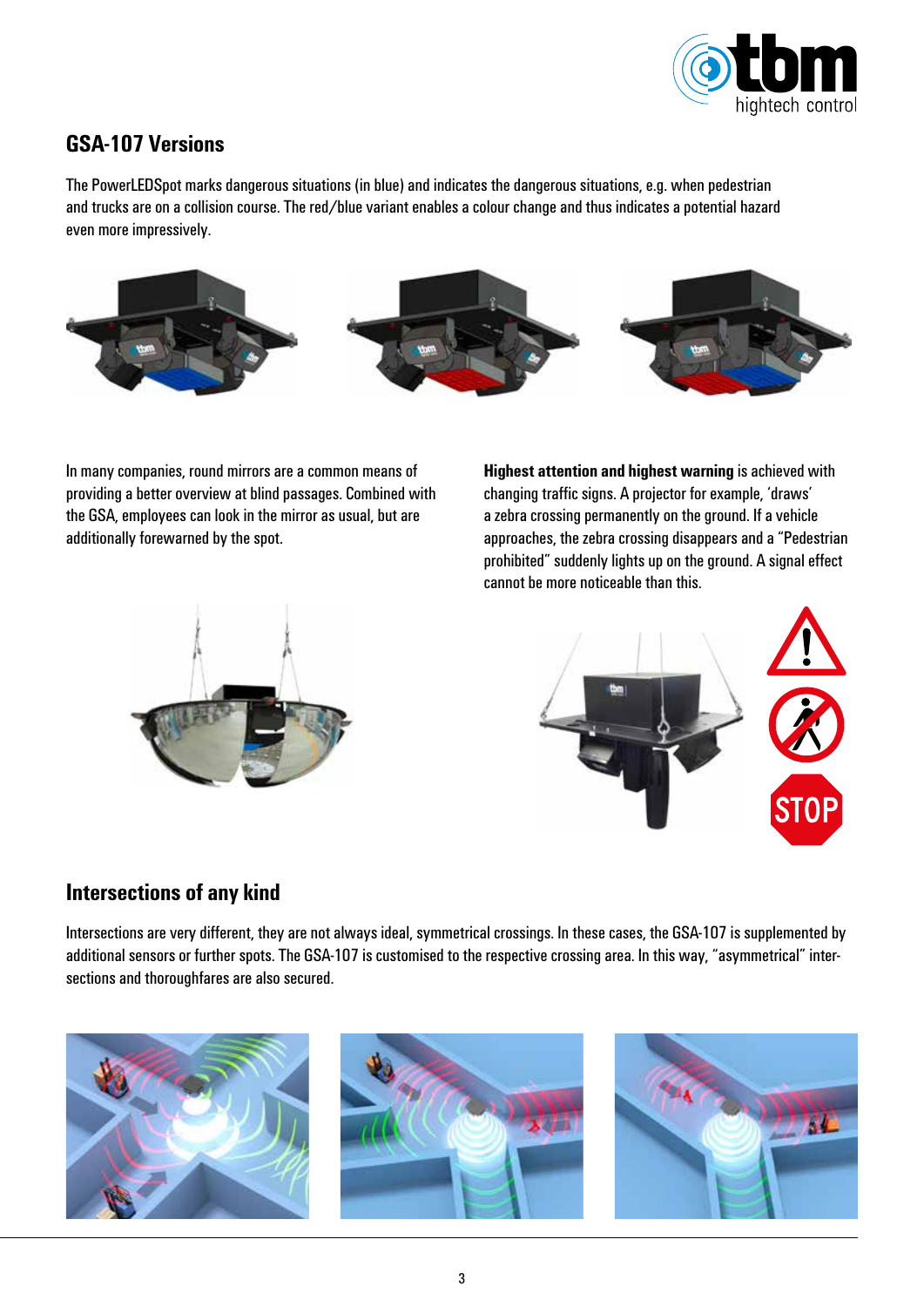

# **GSA-107 Versions**

The PowerLEDSpot marks dangerous situations (in blue) and indicates the dangerous situations, e.g. when pedestrian and trucks are on a collision course. The red/blue variant enables a colour change and thus indicates a potential hazard even more impressively.



In many companies, round mirrors are a common means of providing a better overview at blind passages. Combined with the GSA, employees can look in the mirror as usual, but are additionally forewarned by the spot.

**Highest attention and highest warning** is achieved with changing traffic signs. A projector for example, 'draws' a zebra crossing permanently on the ground. If a vehicle approaches, the zebra crossing disappears and a "Pedestrian prohibited" suddenly lights up on the ground. A signal effect cannot be more noticeable than this.



# **Intersections of any kind**

Intersections are very different, they are not always ideal, symmetrical crossings. In these cases, the GSA-107 is supplemented by additional sensors or further spots. The GSA-107 is customised to the respective crossing area. In this way, "asymmetrical" intersections and thoroughfares are also secured.